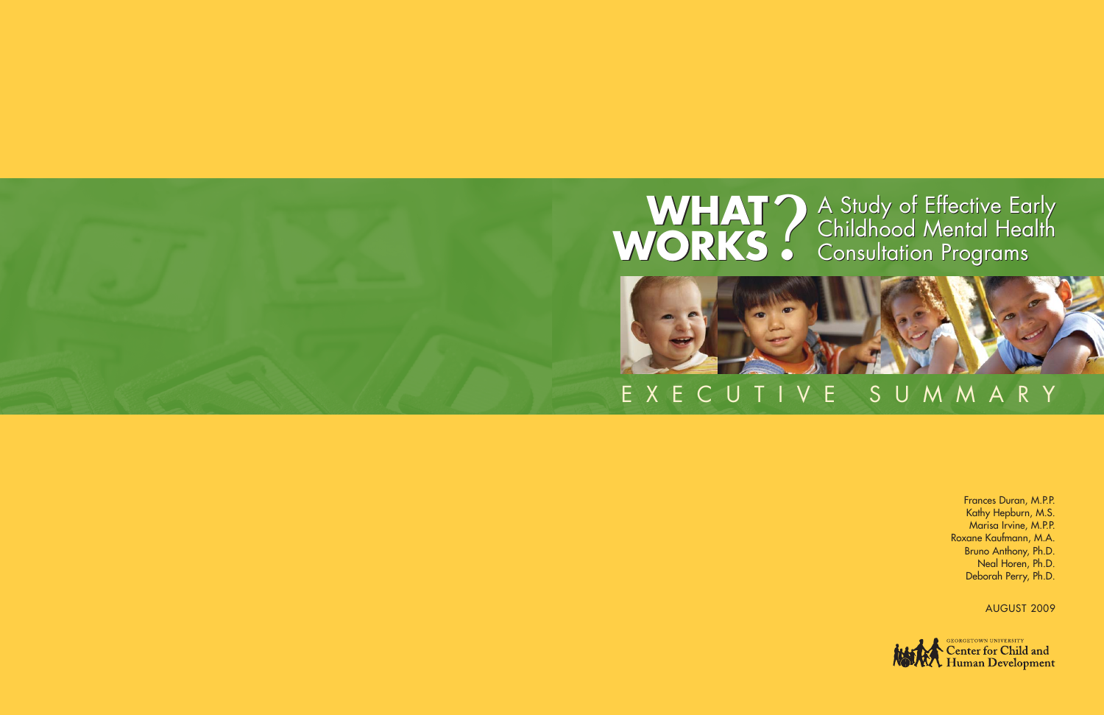# **WHAT?** A Study of Effective Early<br> **WORKS** Consultation Programs

# X E C U T I V E S U M M A R Y

Frances Duran, M.P.P. Kathy Hepburn, M.S. Marisa Irvine, M.P.P. Roxane Kaufmann, M.A. Bruno Anthony, Ph.D. Neal Horen, Ph.D. Deborah Perry, Ph.D.

AUGUST 2009

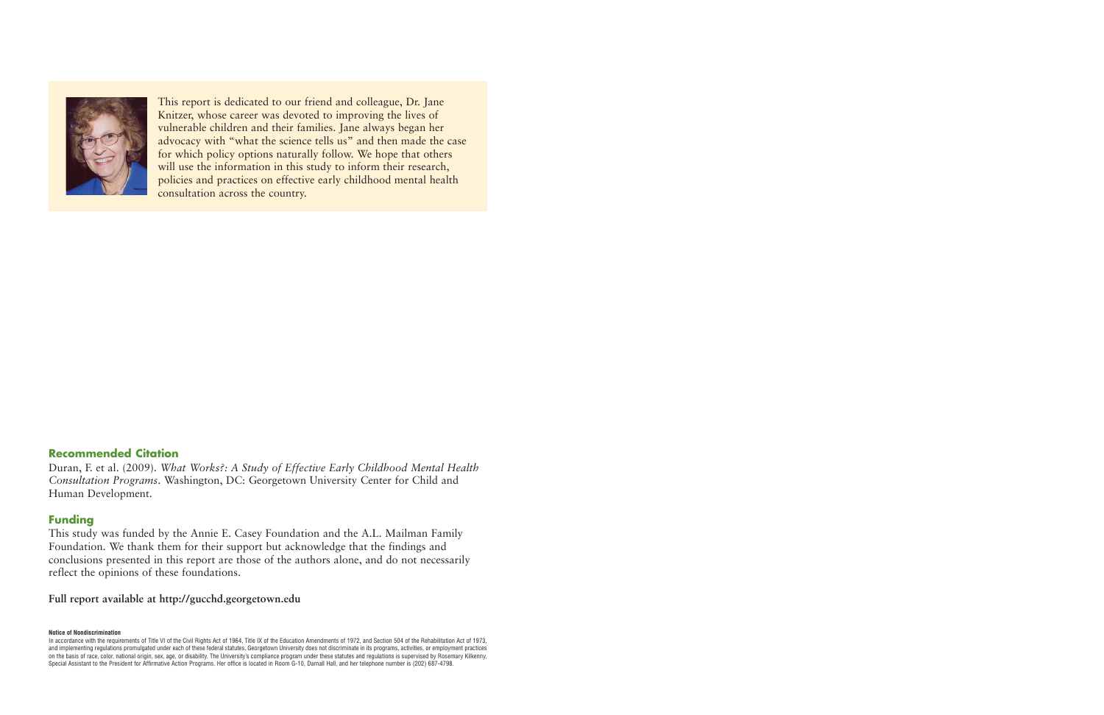

This report is dedicated to our friend and colleague, Dr. Jane Knitzer, whose career was devoted to improving the lives of vulnerable children and their families. Jane always began her advocacy with "what the science tells us" and then made the case for which policy options naturally follow. We hope that others will use the information in this study to inform their research, policies and practices on effective early childhood mental health consultation across the country.

#### **Recommended Citation**

Duran, F. et al. (2009). *What Works?: A Study of Effective Early Childhood Mental Health Consultation Programs*. Washington, DC: Georgetown University Center for Child and Human Development.

#### **Funding**

This study was funded by the Annie E. Casey Foundation and the A.L. Mailman Family Foundation. We thank them for their support but acknowledge that the findings and conclusions presented in this report are those of the authors alone, and do not necessarily reflect the opinions of these foundations.

#### **Full report available at http://gucchd.georgetown.edu**

**Notice of Nondiscrimination**

In accordance with the requirements of Title VI of the Civil Rights Act of 1964, Title IX of the Education Amendments of 1972, and Section 504 of the Rehabilitation Act of 1973, and implementing regulations promulgated under each of these federal statutes, Georgetown University does not discriminate in its programs, activities, or employment practices on the basis of race, color, national origin, sex, age, or disability. The University's compliance program under these statutes and regulations is supervised by Rosemary Kilkenny, Special Assistant to the President for Affirmative Action Programs. Her office is located in Room G-10, Darnall Hall, and her telephone number is (202) 687-4798.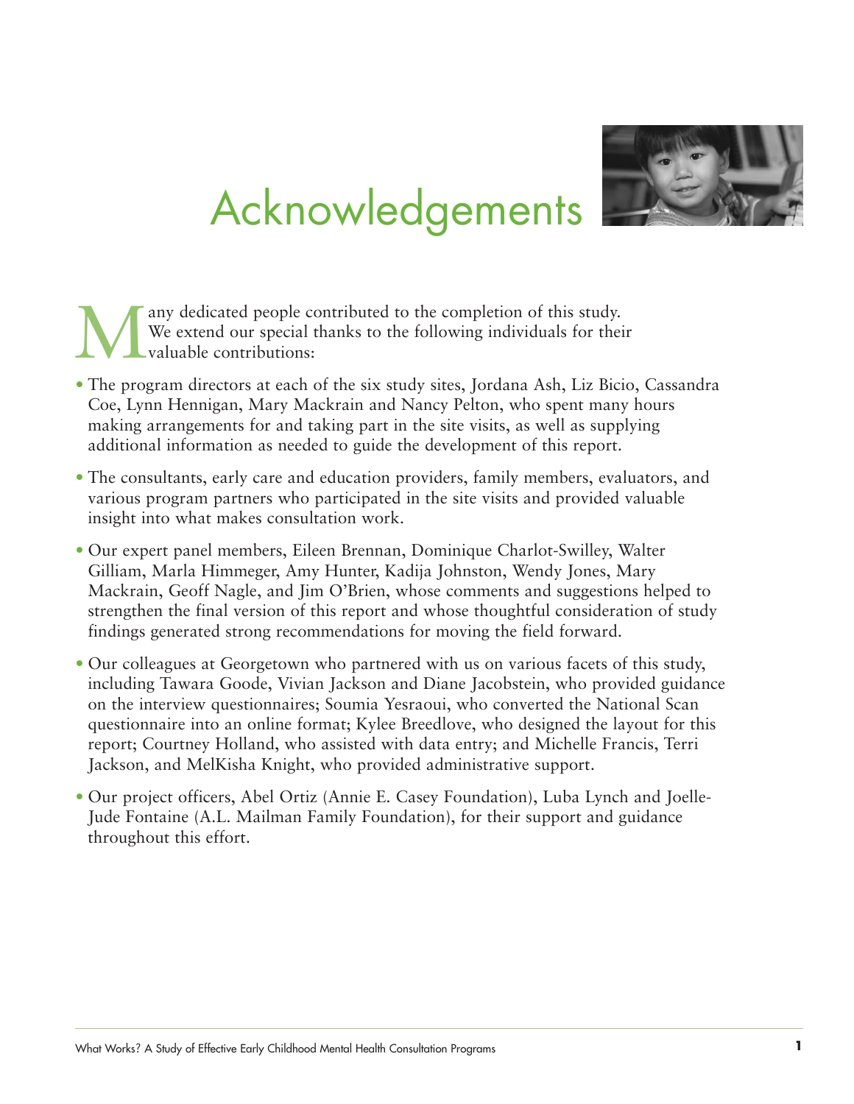

# Acknowledgements

Many dedicated people contributed to the completion of this study.<br>We extend our special thanks to the following individuals for their<br>valuable contributions: We extend our special thanks to the following individuals for their valuable contributions:

- The program directors at each of the six study sites, Jordana Ash, Liz Bicio, Cassandra Coe, Lynn Hennigan, Mary Mackrain and Nancy Pelton, who spent many hours making arrangements for and taking part in the site visits, as well as supplying additional information as needed to guide the development of this report.
- The consultants, early care and education providers, family members, evaluators, and various program partners who participated in the site visits and provided valuable insight into what makes consultation work.
- Our expert panel members, Eileen Brennan, Dominique Charlot-Swilley, Walter Gilliam, Marla Himmeger, Amy Hunter, Kadija Johnston, Wendy Jones, Mary Mackrain, Geoff Nagle, and Jim O'Brien, whose comments and suggestions helped to strengthen the final version of this report and whose thoughtful consideration of study findings generated strong recommendations for moving the field forward.
- Our colleagues at Georgetown who partnered with us on various facets of this study, including Tawara Goode, Vivian Jackson and Diane Jacobstein, who provided guidance on the interview questionnaires; Soumia Yesraoui, who converted the National Scan questionnaire into an online format; Kylee Breedlove, who designed the layout for this report; Courtney Holland, who assisted with data entry; and Michelle Francis, Terri Jackson, and MelKisha Knight, who provided administrative support.
- Our project officers, Abel Ortiz (Annie E. Casey Foundation), Luba Lynch and Joelle-Jude Fontaine (A.L. Mailman Family Foundation), for their support and guidance throughout this effort.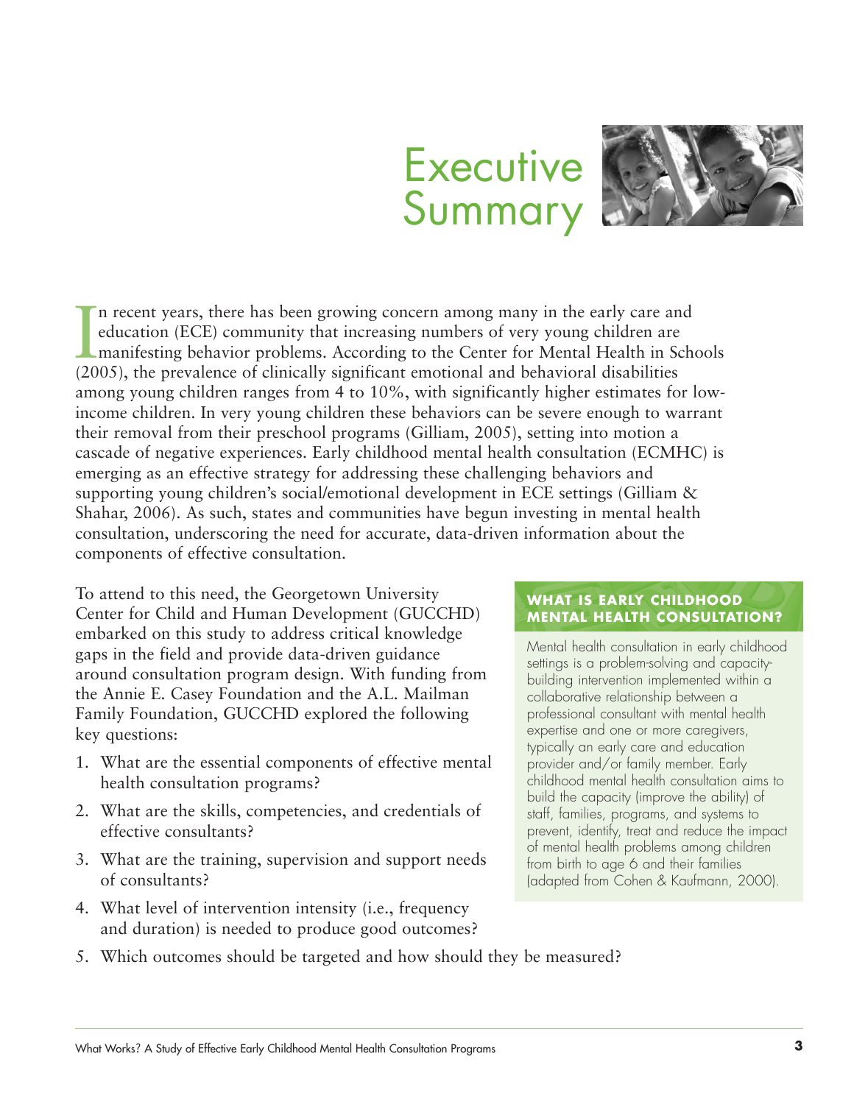# **Executive** Summary



In recent years, there has been growing concern among many in the early care at education (ECE) community that increasing numbers of very young children are manifesting behavior problems. According to the Center for Mental n recent years, there has been growing concern among many in the early care and education (ECE) community that increasing numbers of very young children are manifesting behavior problems. According to the Center for Mental Health in Schools among young children ranges from 4 to 10%, with significantly higher estimates for lowincome children. In very young children these behaviors can be severe enough to warrant their removal from their preschool programs (Gilliam, 2005), setting into motion a cascade of negative experiences. Early childhood mental health consultation (ECMHC) is emerging as an effective strategy for addressing these challenging behaviors and supporting young children's social/emotional development in ECE settings (Gilliam & Shahar, 2006). As such, states and communities have begun investing in mental health consultation, underscoring the need for accurate, data-driven information about the components of effective consultation.

To attend to this need, the Georgetown University Center for Child and Human Development (GUCCHD) embarked on this study to address critical knowledge gaps in the field and provide data-driven guidance around consultation program design. With funding from the Annie E. Casey Foundation and the A.L. Mailman Family Foundation, GUCCHD explored the following key questions:

- 1. What are the essential components of effective mental health consultation programs?
- 2. What are the skills, competencies, and credentials of effective consultants?
- 3. What are the training, supervision and support needs of consultants?
- 4. What level of intervention intensity (i.e., frequency and duration) is needed to produce good outcomes?

#### **WHAT IS EARLY CHILDHOOD MENTAL HEALTH CONSULTATION?**

Mental health consultation in early childhood settings is a problem-solving and capacitybuilding intervention implemented within a collaborative relationship between a professional consultant with mental health expertise and one or more caregivers, typically an early care and education provider and/or family member. Early childhood mental health consultation aims to build the capacity (improve the ability) of staff, families, programs, and systems to prevent, identify, treat and reduce the impact of mental health problems among children from birth to age 6 and their families (adapted from Cohen & Kaufmann, 2000).

5. Which outcomes should be targeted and how should they be measured?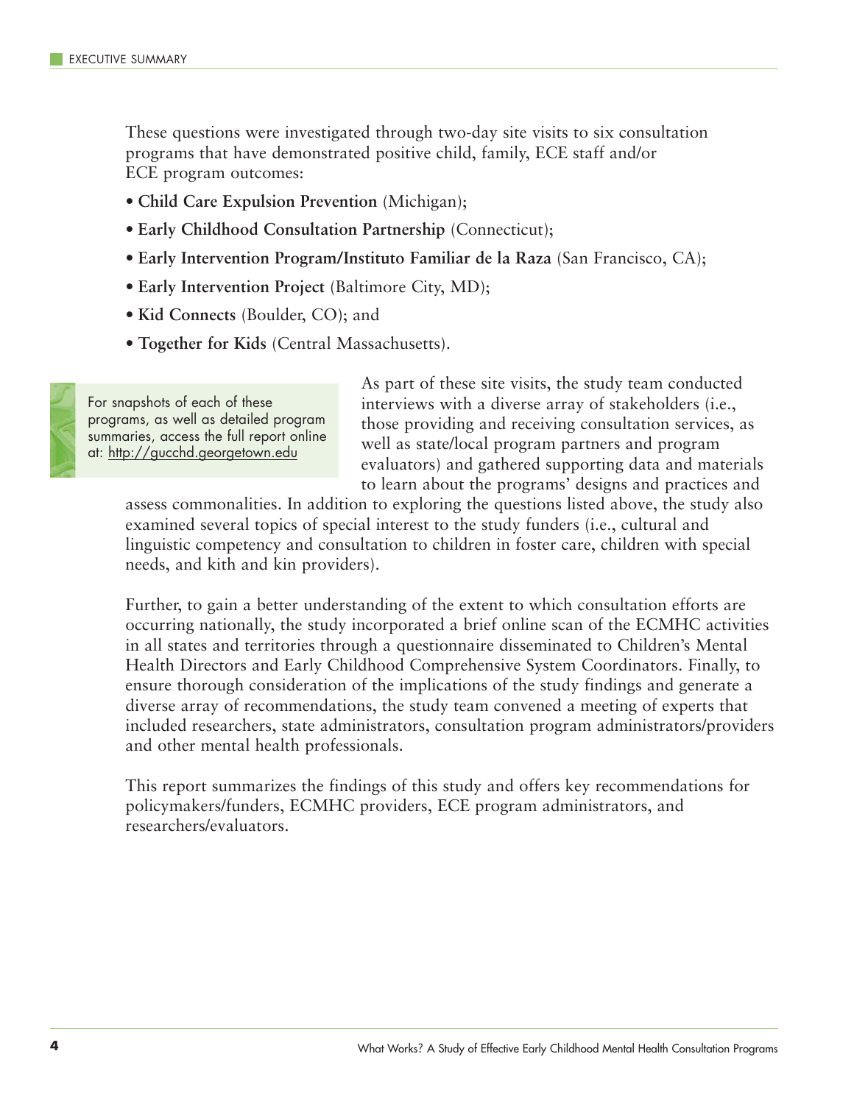These questions were investigated through two-day site visits to six consultation programs that have demonstrated positive child, family, ECE staff and/or ECE program outcomes:

- **Child Care Expulsion Prevention** (Michigan);
- **Early Childhood Consultation Partnership** (Connecticut);
- **Early Intervention Program/Instituto Familiar de la Raza** (San Francisco, CA);
- **Early Intervention Project** (Baltimore City, MD);
- **Kid Connects** (Boulder, CO); and
- **Together for Kids** (Central Massachusetts).



For snapshots of each of these programs, as well as detailed program summaries, access the full report online at: http://gucchd.georgetown.edu

As part of these site visits, the study team conducted interviews with a diverse array of stakeholders (i.e., those providing and receiving consultation services, as well as state/local program partners and program evaluators) and gathered supporting data and materials to learn about the programs' designs and practices and

assess commonalities. In addition to exploring the questions listed above, the study also examined several topics of special interest to the study funders (i.e., cultural and linguistic competency and consultation to children in foster care, children with special needs, and kith and kin providers).

Further, to gain a better understanding of the extent to which consultation efforts are occurring nationally, the study incorporated a brief online scan of the ECMHC activities in all states and territories through a questionnaire disseminated to Children's Mental Health Directors and Early Childhood Comprehensive System Coordinators. Finally, to ensure thorough consideration of the implications of the study findings and generate a diverse array of recommendations, the study team convened a meeting of experts that included researchers, state administrators, consultation program administrators/providers and other mental health professionals.

This report summarizes the findings of this study and offers key recommendations for policymakers/funders, ECMHC providers, ECE program administrators, and researchers/evaluators.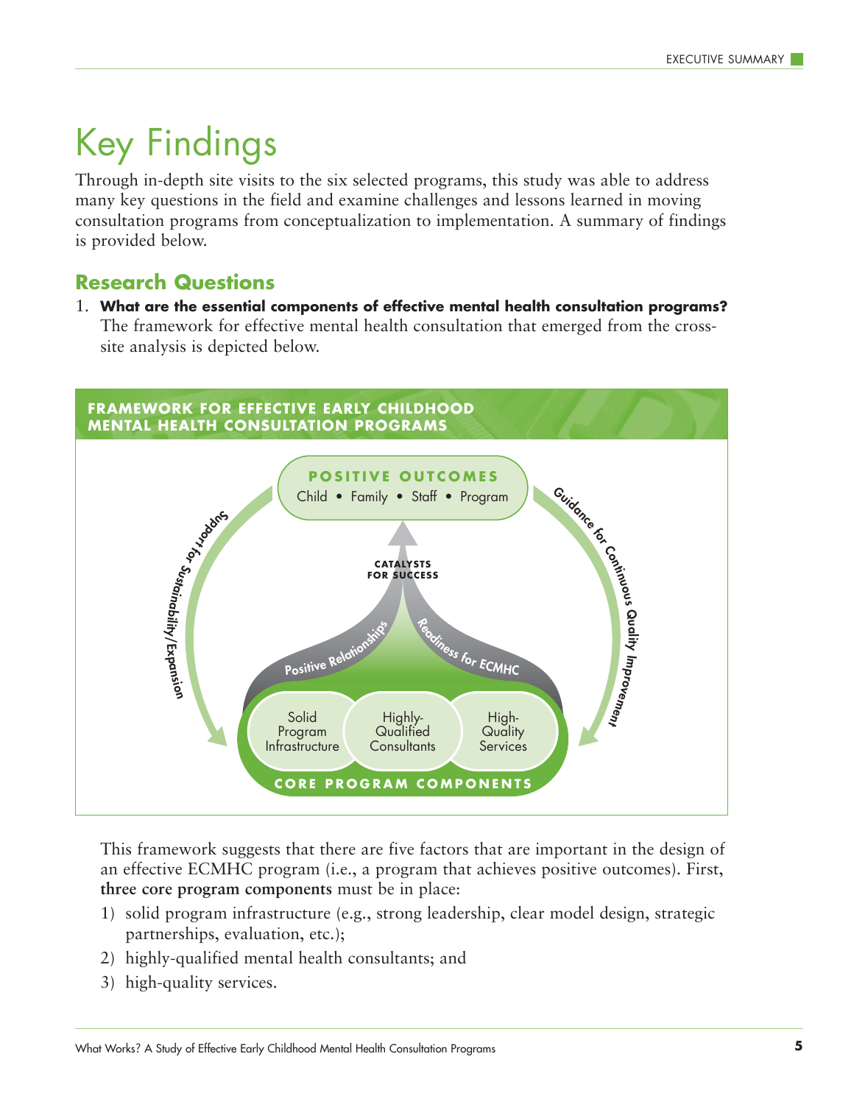### Key Findings

Through in-depth site visits to the six selected programs, this study was able to address many key questions in the field and examine challenges and lessons learned in moving consultation programs from conceptualization to implementation. A summary of findings is provided below.

#### **Research Questions**

1. **What are the essential components of effective mental health consultation programs?** The framework for effective mental health consultation that emerged from the crosssite analysis is depicted below.



This framework suggests that there are five factors that are important in the design of an effective ECMHC program (i.e., a program that achieves positive outcomes). First, **three core program components** must be in place:

- 1) solid program infrastructure (e.g., strong leadership, clear model design, strategic partnerships, evaluation, etc.);
- 2) highly-qualified mental health consultants; and
- 3) high-quality services.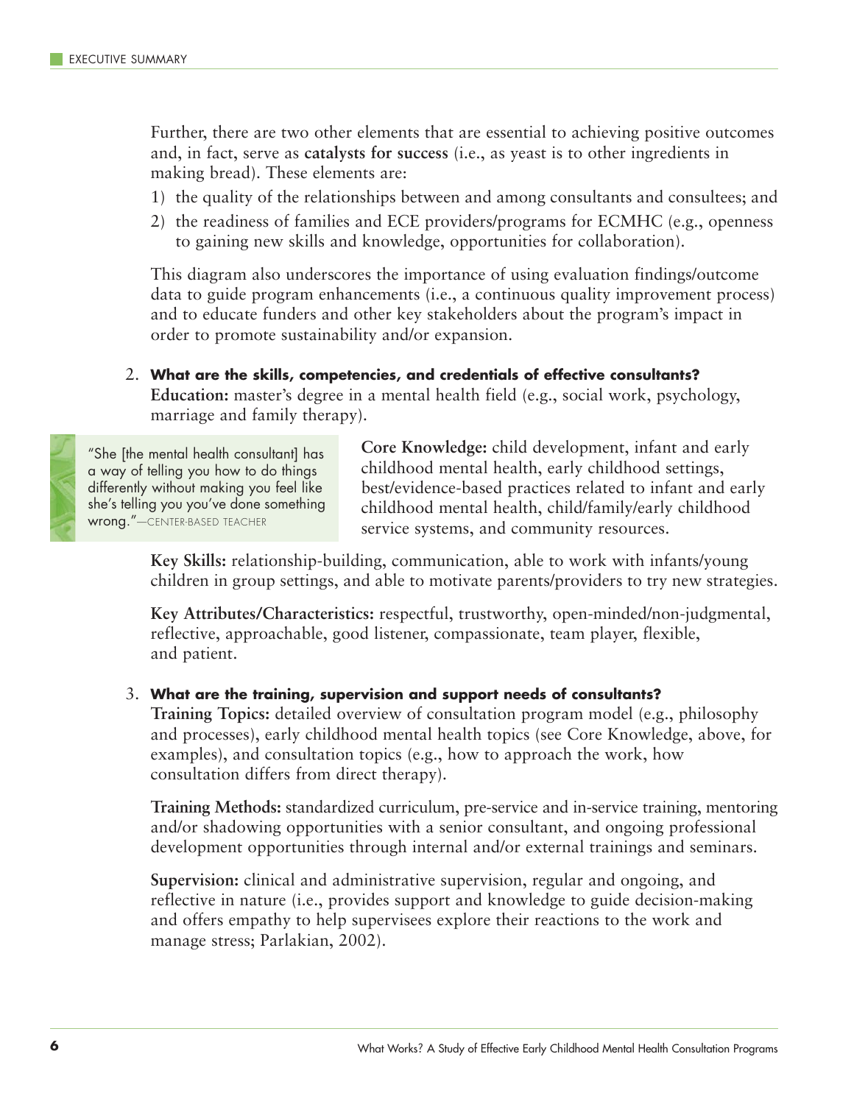Further, there are two other elements that are essential to achieving positive outcomes and, in fact, serve as **catalysts for success** (i.e., as yeast is to other ingredients in making bread). These elements are:

- 1) the quality of the relationships between and among consultants and consultees; and
- 2) the readiness of families and ECE providers/programs for ECMHC (e.g., openness to gaining new skills and knowledge, opportunities for collaboration).

This diagram also underscores the importance of using evaluation findings/outcome data to guide program enhancements (i.e., a continuous quality improvement process) and to educate funders and other key stakeholders about the program's impact in order to promote sustainability and/or expansion.

2. **What are the skills, competencies, and credentials of effective consultants? Education:** master's degree in a mental health field (e.g., social work, psychology, marriage and family therapy).

"She [the mental health consultant] has a way of telling you how to do things differently without making you feel like she's telling you you've done something wrong."—CENTER-BASED TEACHER

**Core Knowledge:** child development, infant and early childhood mental health, early childhood settings, best/evidence-based practices related to infant and early childhood mental health, child/family/early childhood service systems, and community resources.

**Key Skills:** relationship-building, communication, able to work with infants/young children in group settings, and able to motivate parents/providers to try new strategies.

**Key Attributes/Characteristics:** respectful, trustworthy, open-minded/non-judgmental, reflective, approachable, good listener, compassionate, team player, flexible, and patient.

#### 3. **What are the training, supervision and support needs of consultants?**

**Training Topics:** detailed overview of consultation program model (e.g., philosophy and processes), early childhood mental health topics (see Core Knowledge, above, for examples), and consultation topics (e.g., how to approach the work, how consultation differs from direct therapy).

**Training Methods:** standardized curriculum, pre-service and in-service training, mentoring and/or shadowing opportunities with a senior consultant, and ongoing professional development opportunities through internal and/or external trainings and seminars.

**Supervision:** clinical and administrative supervision, regular and ongoing, and reflective in nature (i.e., provides support and knowledge to guide decision-making and offers empathy to help supervisees explore their reactions to the work and manage stress; Parlakian, 2002).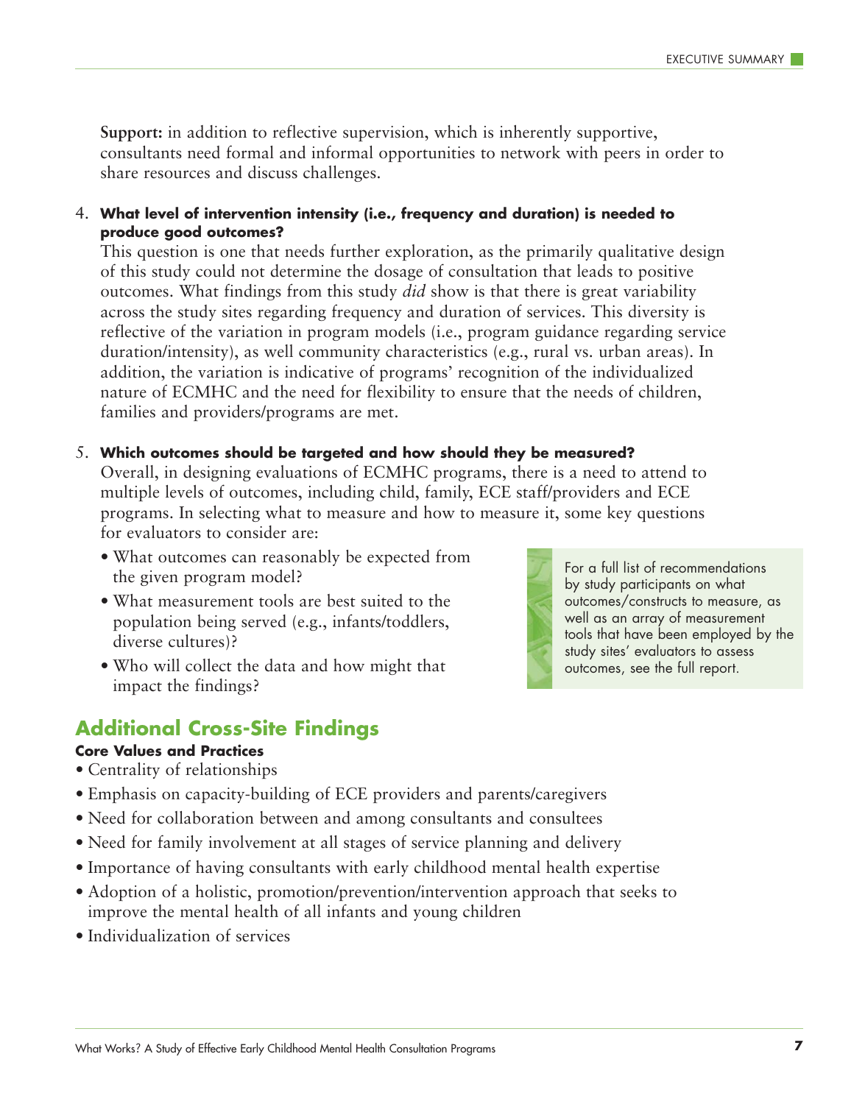**Support:** in addition to reflective supervision, which is inherently supportive, consultants need formal and informal opportunities to network with peers in order to share resources and discuss challenges.

4. **What level of intervention intensity (i.e., frequency and duration) is needed to produce good outcomes?**

This question is one that needs further exploration, as the primarily qualitative design of this study could not determine the dosage of consultation that leads to positive outcomes. What findings from this study *did* show is that there is great variability across the study sites regarding frequency and duration of services. This diversity is reflective of the variation in program models (i.e., program guidance regarding service duration/intensity), as well community characteristics (e.g., rural vs. urban areas). In addition, the variation is indicative of programs' recognition of the individualized nature of ECMHC and the need for flexibility to ensure that the needs of children, families and providers/programs are met.

#### 5. **Which outcomes should be targeted and how should they be measured?**

Overall, in designing evaluations of ECMHC programs, there is a need to attend to multiple levels of outcomes, including child, family, ECE staff/providers and ECE programs. In selecting what to measure and how to measure it, some key questions for evaluators to consider are:

- What outcomes can reasonably be expected from the given program model?
- What measurement tools are best suited to the population being served (e.g., infants/toddlers, diverse cultures)?
- Who will collect the data and how might that impact the findings?



#### **Core Values and Practices**

- Centrality of relationships
- Emphasis on capacity-building of ECE providers and parents/caregivers
- Need for collaboration between and among consultants and consultees
- Need for family involvement at all stages of service planning and delivery
- Importance of having consultants with early childhood mental health expertise
- Adoption of a holistic, promotion/prevention/intervention approach that seeks to improve the mental health of all infants and young children
- Individualization of services



For a full list of recommendations by study participants on what outcomes/constructs to measure, as well as an array of measurement tools that have been employed by the study sites' evaluators to assess outcomes, see the full report.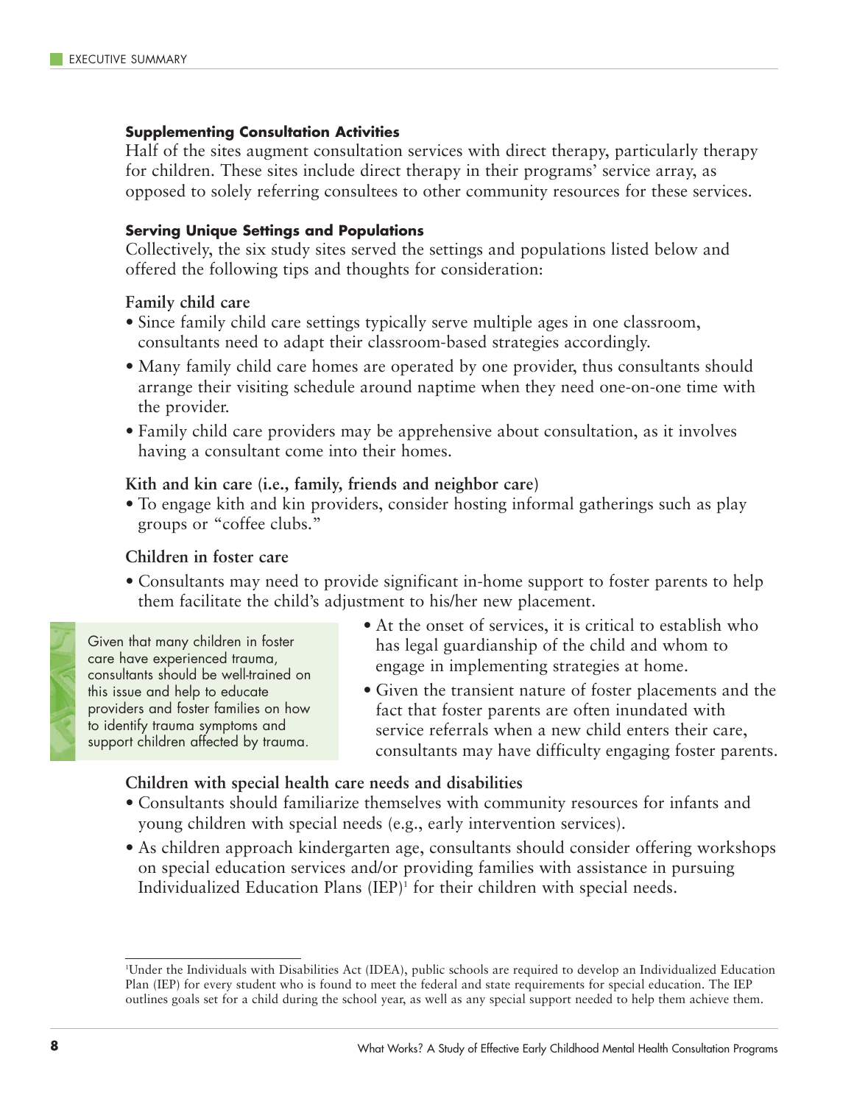#### **Supplementing Consultation Activities**

Half of the sites augment consultation services with direct therapy, particularly therapy for children. These sites include direct therapy in their programs' service array, as opposed to solely referring consultees to other community resources for these services.

#### **Serving Unique Settings and Populations**

Collectively, the six study sites served the settings and populations listed below and offered the following tips and thoughts for consideration:

#### **Family child care**

- Since family child care settings typically serve multiple ages in one classroom, consultants need to adapt their classroom-based strategies accordingly.
- Many family child care homes are operated by one provider, thus consultants should arrange their visiting schedule around naptime when they need one-on-one time with the provider.
- Family child care providers may be apprehensive about consultation, as it involves having a consultant come into their homes.

#### **Kith and kin care (i.e., family, friends and neighbor care)**

• To engage kith and kin providers, consider hosting informal gatherings such as play groups or "coffee clubs."

#### **Children in foster care**

• Consultants may need to provide significant in-home support to foster parents to help them facilitate the child's adjustment to his/her new placement.



Given that many children in foster care have experienced trauma, consultants should be well-trained on this issue and help to educate providers and foster families on how to identify trauma symptoms and support children affected by trauma.

- At the onset of services, it is critical to establish who has legal guardianship of the child and whom to engage in implementing strategies at home.
- Given the transient nature of foster placements and the fact that foster parents are often inundated with service referrals when a new child enters their care, consultants may have difficulty engaging foster parents.

**Children with special health care needs and disabilities**

- Consultants should familiarize themselves with community resources for infants and young children with special needs (e.g., early intervention services).
- As children approach kindergarten age, consultants should consider offering workshops on special education services and/or providing families with assistance in pursuing Individualized Education Plans (IEP)<sup>1</sup> for their children with special needs.

<sup>1</sup> Under the Individuals with Disabilities Act (IDEA), public schools are required to develop an Individualized Education Plan (IEP) for every student who is found to meet the federal and state requirements for special education. The IEP outlines goals set for a child during the school year, as well as any special support needed to help them achieve them.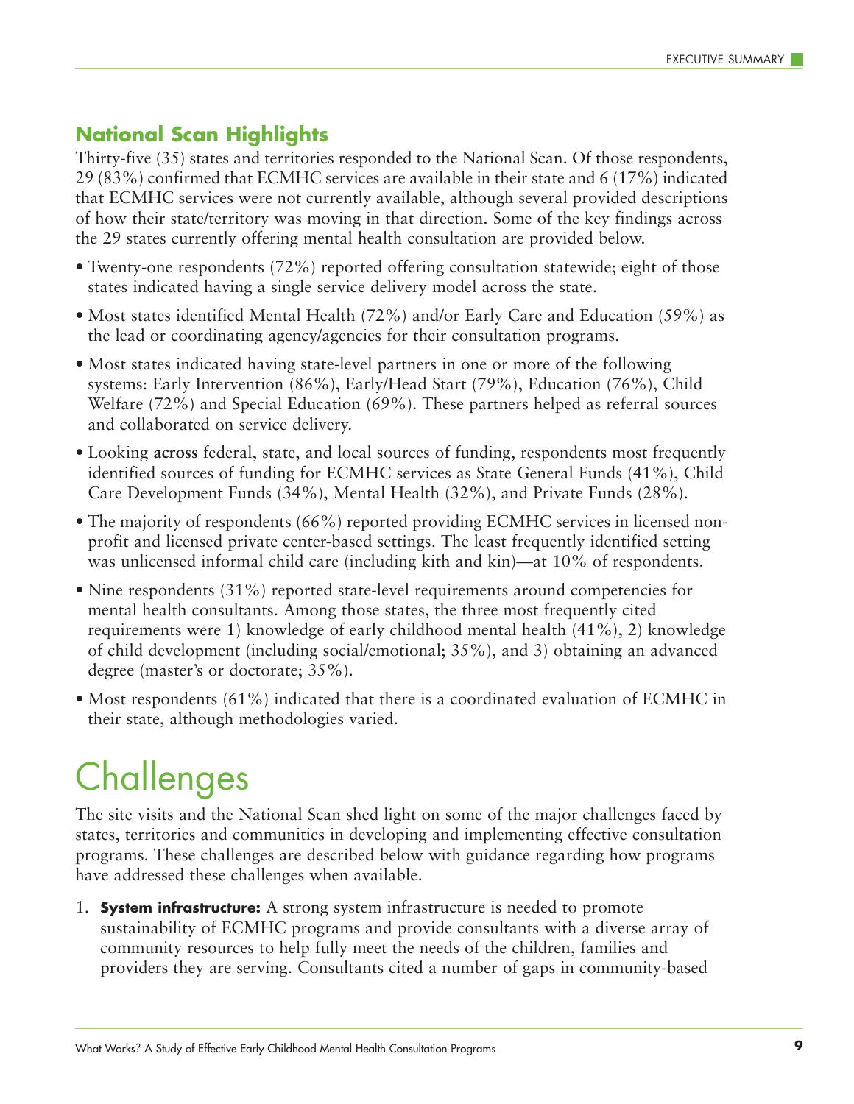#### **National Scan Highlights**

Thirty-five (35) states and territories responded to the National Scan. Of those respondents, 29 (83%) confirmed that ECMHC services are available in their state and 6 (17%) indicated that ECMHC services were not currently available, although several provided descriptions of how their state/territory was moving in that direction. Some of the key findings across the 29 states currently offering mental health consultation are provided below.

- Twenty-one respondents (72%) reported offering consultation statewide; eight of those states indicated having a single service delivery model across the state.
- Most states identified Mental Health (72%) and/or Early Care and Education (59%) as the lead or coordinating agency/agencies for their consultation programs.
- Most states indicated having state-level partners in one or more of the following systems: Early Intervention (86%), Early/Head Start (79%), Education (76%), Child Welfare (72%) and Special Education (69%). These partners helped as referral sources and collaborated on service delivery.
- Looking **across** federal, state, and local sources of funding, respondents most frequently identified sources of funding for ECMHC services as State General Funds (41%), Child Care Development Funds (34%), Mental Health (32%), and Private Funds (28%).
- The majority of respondents (66%) reported providing ECMHC services in licensed nonprofit and licensed private center-based settings. The least frequently identified setting was unlicensed informal child care (including kith and kin)—at 10% of respondents.
- Nine respondents (31%) reported state-level requirements around competencies for mental health consultants. Among those states, the three most frequently cited requirements were 1) knowledge of early childhood mental health (41%), 2) knowledge of child development (including social/emotional; 35%), and 3) obtaining an advanced degree (master's or doctorate; 35%).
- Most respondents (61%) indicated that there is a coordinated evaluation of ECMHC in their state, although methodologies varied.

## **Challenges**

The site visits and the National Scan shed light on some of the major challenges faced by states, territories and communities in developing and implementing effective consultation programs. These challenges are described below with guidance regarding how programs have addressed these challenges when available.

1. **System infrastructure:** A strong system infrastructure is needed to promote sustainability of ECMHC programs and provide consultants with a diverse array of community resources to help fully meet the needs of the children, families and providers they are serving. Consultants cited a number of gaps in community-based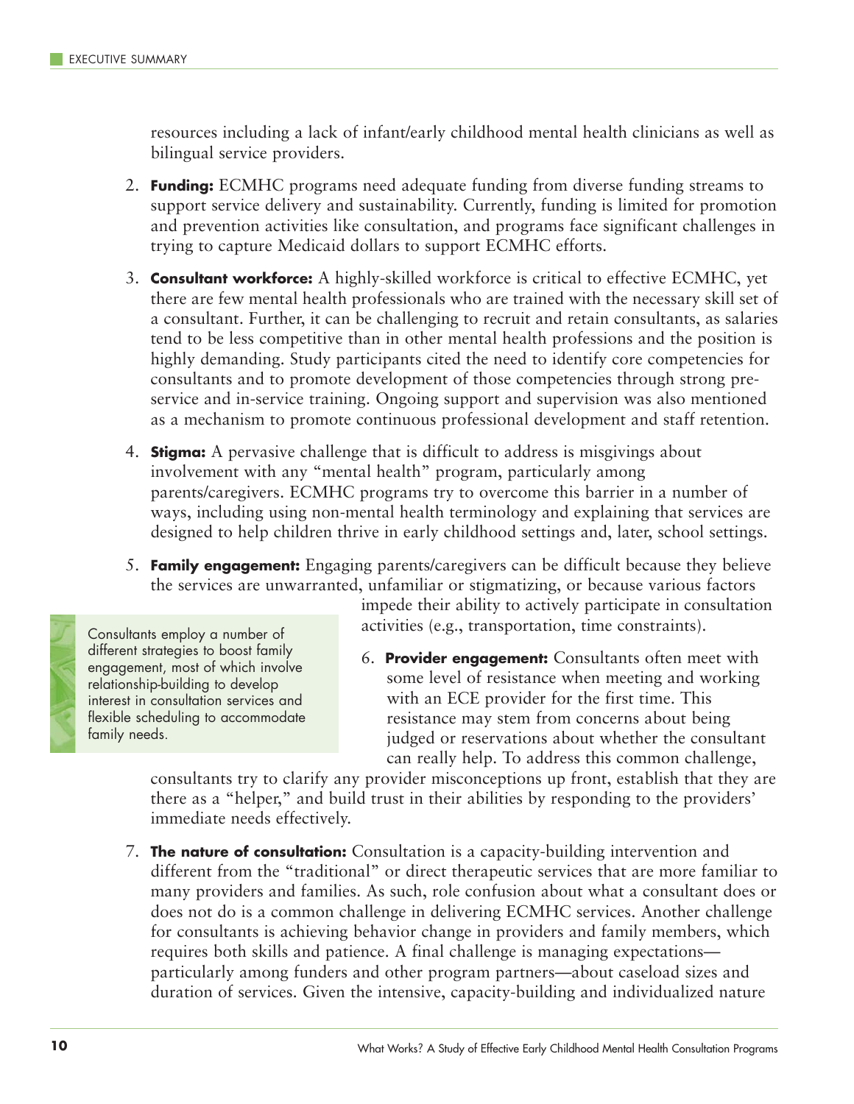resources including a lack of infant/early childhood mental health clinicians as well as bilingual service providers.

- 2. **Funding:** ECMHC programs need adequate funding from diverse funding streams to support service delivery and sustainability. Currently, funding is limited for promotion and prevention activities like consultation, and programs face significant challenges in trying to capture Medicaid dollars to support ECMHC efforts.
- 3. **Consultant workforce:** A highly-skilled workforce is critical to effective ECMHC, yet there are few mental health professionals who are trained with the necessary skill set of a consultant. Further, it can be challenging to recruit and retain consultants, as salaries tend to be less competitive than in other mental health professions and the position is highly demanding. Study participants cited the need to identify core competencies for consultants and to promote development of those competencies through strong preservice and in-service training. Ongoing support and supervision was also mentioned as a mechanism to promote continuous professional development and staff retention.
- 4. **Stigma:** A pervasive challenge that is difficult to address is misgivings about involvement with any "mental health" program, particularly among parents/caregivers. ECMHC programs try to overcome this barrier in a number of ways, including using non-mental health terminology and explaining that services are designed to help children thrive in early childhood settings and, later, school settings.
- 5. **Family engagement:** Engaging parents/caregivers can be difficult because they believe the services are unwarranted, unfamiliar or stigmatizing, or because various factors



Consultants employ a number of different strategies to boost family engagement, most of which involve relationship-building to develop interest in consultation services and flexible scheduling to accommodate family needs.

impede their ability to actively participate in consultation activities (e.g., transportation, time constraints).

6. **Provider engagement:** Consultants often meet with some level of resistance when meeting and working with an ECE provider for the first time. This resistance may stem from concerns about being judged or reservations about whether the consultant can really help. To address this common challenge,

consultants try to clarify any provider misconceptions up front, establish that they are there as a "helper," and build trust in their abilities by responding to the providers' immediate needs effectively.

7. **The nature of consultation:** Consultation is a capacity-building intervention and different from the "traditional" or direct therapeutic services that are more familiar to many providers and families. As such, role confusion about what a consultant does or does not do is a common challenge in delivering ECMHC services. Another challenge for consultants is achieving behavior change in providers and family members, which requires both skills and patience. A final challenge is managing expectations particularly among funders and other program partners—about caseload sizes and duration of services. Given the intensive, capacity-building and individualized nature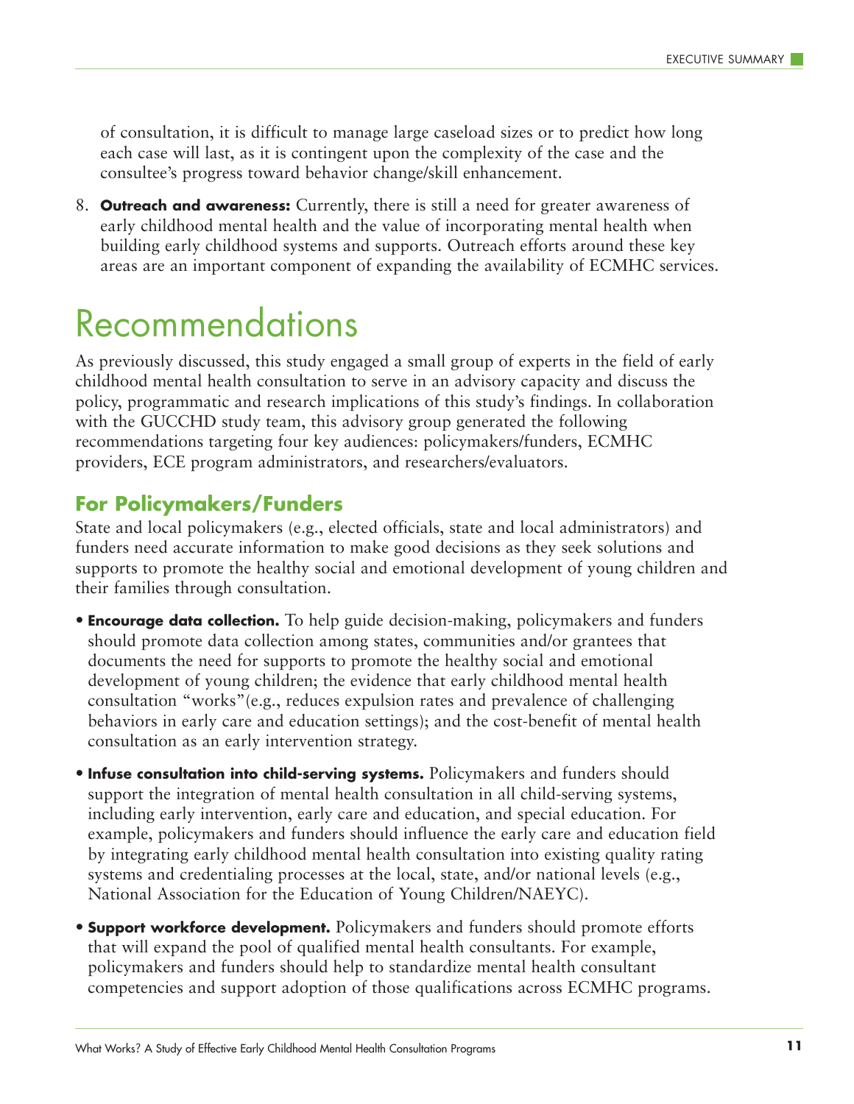of consultation, it is difficult to manage large caseload sizes or to predict how long each case will last, as it is contingent upon the complexity of the case and the consultee's progress toward behavior change/skill enhancement.

8. **Outreach and awareness:** Currently, there is still a need for greater awareness of early childhood mental health and the value of incorporating mental health when building early childhood systems and supports. Outreach efforts around these key areas are an important component of expanding the availability of ECMHC services.

### Recommendations

As previously discussed, this study engaged a small group of experts in the field of early childhood mental health consultation to serve in an advisory capacity and discuss the policy, programmatic and research implications of this study's findings. In collaboration with the GUCCHD study team, this advisory group generated the following recommendations targeting four key audiences: policymakers/funders, ECMHC providers, ECE program administrators, and researchers/evaluators.

#### **For Policymakers/Funders**

State and local policymakers (e.g., elected officials, state and local administrators) and funders need accurate information to make good decisions as they seek solutions and supports to promote the healthy social and emotional development of young children and their families through consultation.

- **Encourage data collection.** To help guide decision-making, policymakers and funders should promote data collection among states, communities and/or grantees that documents the need for supports to promote the healthy social and emotional development of young children; the evidence that early childhood mental health consultation "works"(e.g., reduces expulsion rates and prevalence of challenging behaviors in early care and education settings); and the cost-benefit of mental health consultation as an early intervention strategy.
- **Infuse consultation into child-serving systems.** Policymakers and funders should support the integration of mental health consultation in all child-serving systems, including early intervention, early care and education, and special education. For example, policymakers and funders should influence the early care and education field by integrating early childhood mental health consultation into existing quality rating systems and credentialing processes at the local, state, and/or national levels (e.g., National Association for the Education of Young Children/NAEYC).
- **Support workforce development.** Policymakers and funders should promote efforts that will expand the pool of qualified mental health consultants. For example, policymakers and funders should help to standardize mental health consultant competencies and support adoption of those qualifications across ECMHC programs.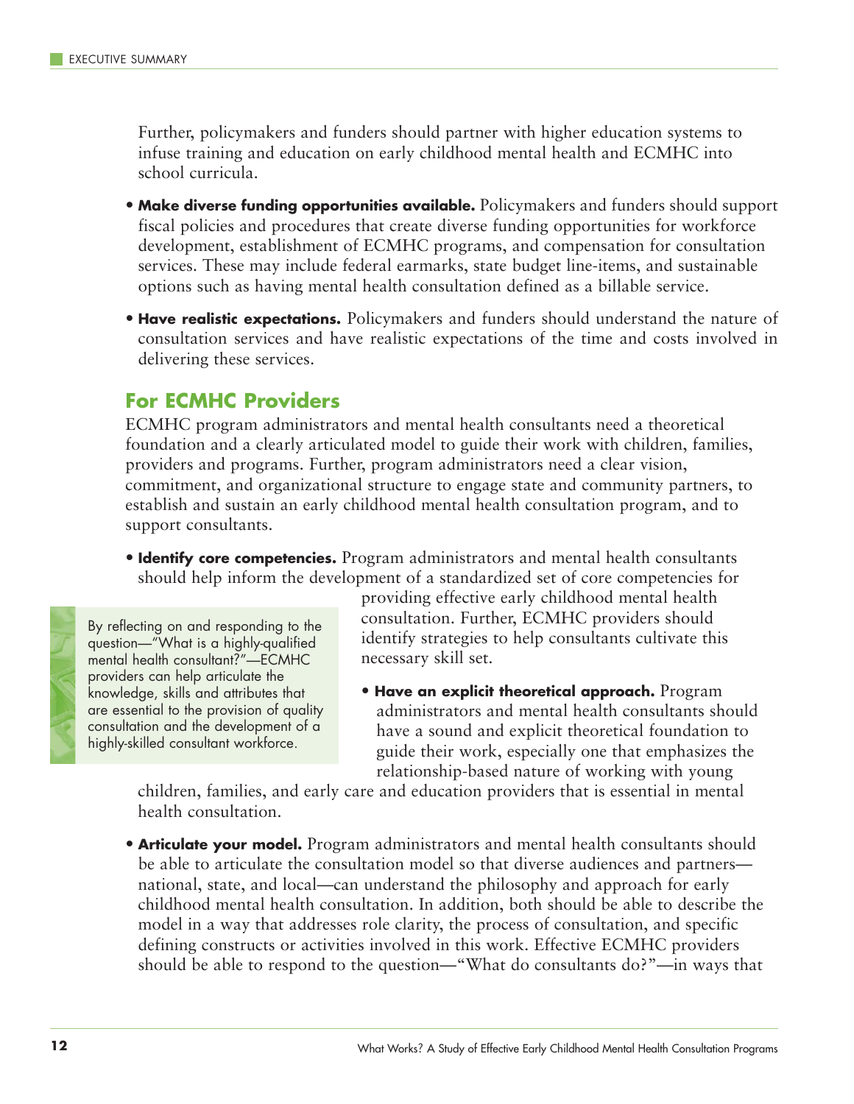Further, policymakers and funders should partner with higher education systems to infuse training and education on early childhood mental health and ECMHC into school curricula.

- **Make diverse funding opportunities available.** Policymakers and funders should support fiscal policies and procedures that create diverse funding opportunities for workforce development, establishment of ECMHC programs, and compensation for consultation services. These may include federal earmarks, state budget line-items, and sustainable options such as having mental health consultation defined as a billable service.
- **Have realistic expectations.** Policymakers and funders should understand the nature of consultation services and have realistic expectations of the time and costs involved in delivering these services.

#### **For ECMHC Providers**

ECMHC program administrators and mental health consultants need a theoretical foundation and a clearly articulated model to guide their work with children, families, providers and programs. Further, program administrators need a clear vision, commitment, and organizational structure to engage state and community partners, to establish and sustain an early childhood mental health consultation program, and to support consultants.

• **Identify core competencies.** Program administrators and mental health consultants should help inform the development of a standardized set of core competencies for



By reflecting on and responding to the question—"What is a highly-qualified mental health consultant?"—ECMHC providers can help articulate the knowledge, skills and attributes that are essential to the provision of quality consultation and the development of a highly-skilled consultant workforce.

providing effective early childhood mental health consultation. Further, ECMHC providers should identify strategies to help consultants cultivate this necessary skill set.

• **Have an explicit theoretical approach.** Program administrators and mental health consultants should have a sound and explicit theoretical foundation to guide their work, especially one that emphasizes the relationship-based nature of working with young

children, families, and early care and education providers that is essential in mental health consultation.

• **Articulate your model.** Program administrators and mental health consultants should be able to articulate the consultation model so that diverse audiences and partners national, state, and local—can understand the philosophy and approach for early childhood mental health consultation. In addition, both should be able to describe the model in a way that addresses role clarity, the process of consultation, and specific defining constructs or activities involved in this work. Effective ECMHC providers should be able to respond to the question—"What do consultants do?"—in ways that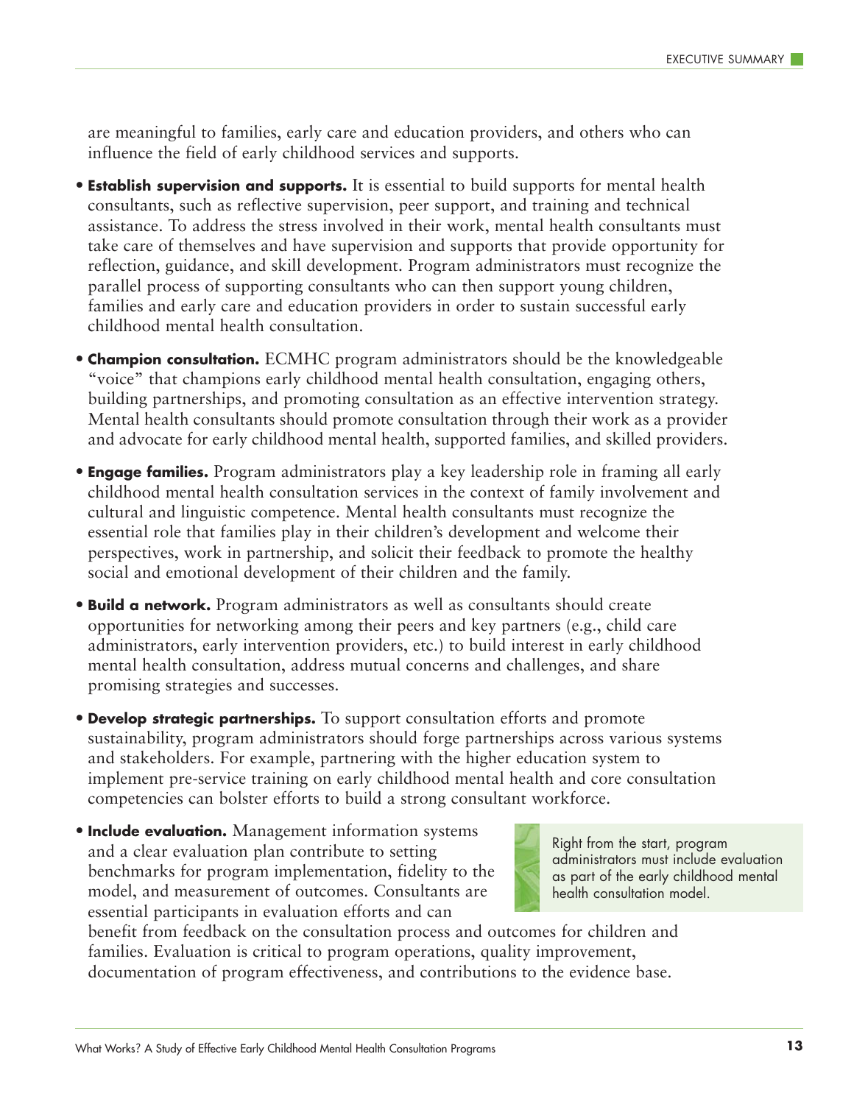are meaningful to families, early care and education providers, and others who can influence the field of early childhood services and supports.

- **Establish supervision and supports.** It is essential to build supports for mental health consultants, such as reflective supervision, peer support, and training and technical assistance. To address the stress involved in their work, mental health consultants must take care of themselves and have supervision and supports that provide opportunity for reflection, guidance, and skill development. Program administrators must recognize the parallel process of supporting consultants who can then support young children, families and early care and education providers in order to sustain successful early childhood mental health consultation.
- **Champion consultation.** ECMHC program administrators should be the knowledgeable "voice" that champions early childhood mental health consultation, engaging others, building partnerships, and promoting consultation as an effective intervention strategy. Mental health consultants should promote consultation through their work as a provider and advocate for early childhood mental health, supported families, and skilled providers.
- **Engage families.** Program administrators play a key leadership role in framing all early childhood mental health consultation services in the context of family involvement and cultural and linguistic competence. Mental health consultants must recognize the essential role that families play in their children's development and welcome their perspectives, work in partnership, and solicit their feedback to promote the healthy social and emotional development of their children and the family.
- **Build a network.** Program administrators as well as consultants should create opportunities for networking among their peers and key partners (e.g., child care administrators, early intervention providers, etc.) to build interest in early childhood mental health consultation, address mutual concerns and challenges, and share promising strategies and successes.
- **Develop strategic partnerships.** To support consultation efforts and promote sustainability, program administrators should forge partnerships across various systems and stakeholders. For example, partnering with the higher education system to implement pre-service training on early childhood mental health and core consultation competencies can bolster efforts to build a strong consultant workforce.
- **Include evaluation.** Management information systems and a clear evaluation plan contribute to setting benchmarks for program implementation, fidelity to the model, and measurement of outcomes. Consultants are essential participants in evaluation efforts and can



benefit from feedback on the consultation process and outcomes for children and families. Evaluation is critical to program operations, quality improvement, documentation of program effectiveness, and contributions to the evidence base.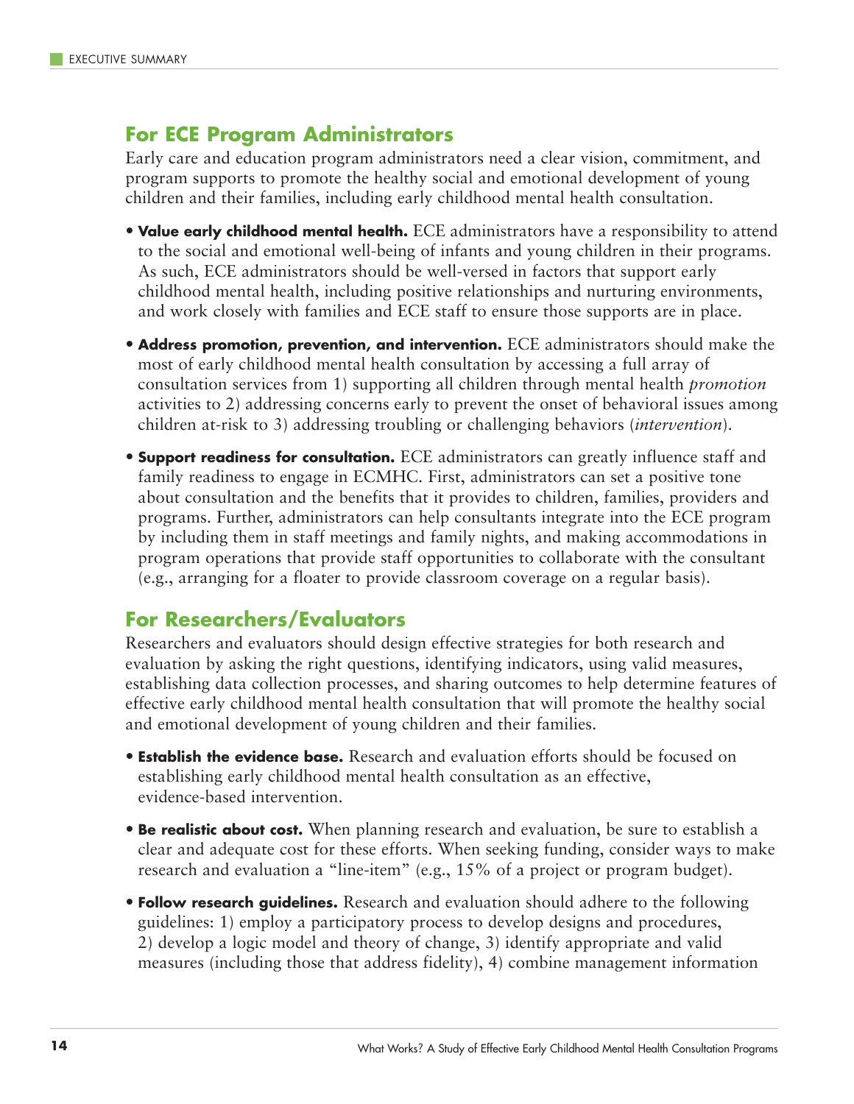#### **For ECE Program Administrators**

Early care and education program administrators need a clear vision, commitment, and program supports to promote the healthy social and emotional development of young children and their families, including early childhood mental health consultation.

- **Value early childhood mental health.** ECE administrators have a responsibility to attend to the social and emotional well-being of infants and young children in their programs. As such, ECE administrators should be well-versed in factors that support early childhood mental health, including positive relationships and nurturing environments, and work closely with families and ECE staff to ensure those supports are in place.
- **Address promotion, prevention, and intervention.** ECE administrators should make the most of early childhood mental health consultation by accessing a full array of consultation services from 1) supporting all children through mental health *promotion* activities to 2) addressing concerns early to prevent the onset of behavioral issues among children at-risk to 3) addressing troubling or challenging behaviors (*intervention*).
- **Support readiness for consultation.** ECE administrators can greatly influence staff and family readiness to engage in ECMHC. First, administrators can set a positive tone about consultation and the benefits that it provides to children, families, providers and programs. Further, administrators can help consultants integrate into the ECE program by including them in staff meetings and family nights, and making accommodations in program operations that provide staff opportunities to collaborate with the consultant (e.g., arranging for a floater to provide classroom coverage on a regular basis).

#### **For Researchers/Evaluators**

Researchers and evaluators should design effective strategies for both research and evaluation by asking the right questions, identifying indicators, using valid measures, establishing data collection processes, and sharing outcomes to help determine features of effective early childhood mental health consultation that will promote the healthy social and emotional development of young children and their families.

- **Establish the evidence base.** Research and evaluation efforts should be focused on establishing early childhood mental health consultation as an effective, evidence-based intervention.
- **Be realistic about cost.** When planning research and evaluation, be sure to establish a clear and adequate cost for these efforts. When seeking funding, consider ways to make research and evaluation a "line-item" (e.g., 15% of a project or program budget).
- **Follow research guidelines.** Research and evaluation should adhere to the following guidelines: 1) employ a participatory process to develop designs and procedures, 2) develop a logic model and theory of change, 3) identify appropriate and valid measures (including those that address fidelity), 4) combine management information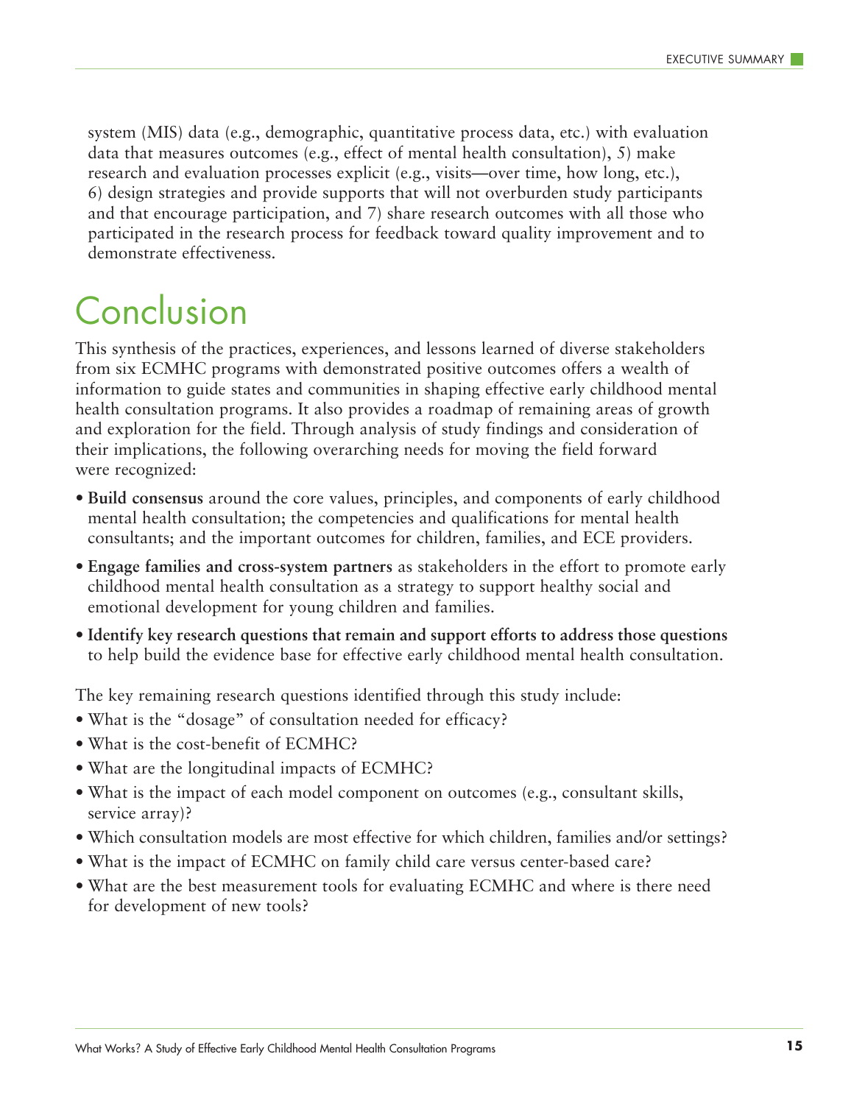system (MIS) data (e.g., demographic, quantitative process data, etc.) with evaluation data that measures outcomes (e.g., effect of mental health consultation), 5) make research and evaluation processes explicit (e.g., visits—over time, how long, etc.), 6) design strategies and provide supports that will not overburden study participants and that encourage participation, and 7) share research outcomes with all those who participated in the research process for feedback toward quality improvement and to demonstrate effectiveness.

### Conclusion

This synthesis of the practices, experiences, and lessons learned of diverse stakeholders from six ECMHC programs with demonstrated positive outcomes offers a wealth of information to guide states and communities in shaping effective early childhood mental health consultation programs. It also provides a roadmap of remaining areas of growth and exploration for the field. Through analysis of study findings and consideration of their implications, the following overarching needs for moving the field forward were recognized:

- **Build consensus** around the core values, principles, and components of early childhood mental health consultation; the competencies and qualifications for mental health consultants; and the important outcomes for children, families, and ECE providers.
- **Engage families and cross-system partners** as stakeholders in the effort to promote early childhood mental health consultation as a strategy to support healthy social and emotional development for young children and families.
- **Identify key research questions that remain and support efforts to address those questions** to help build the evidence base for effective early childhood mental health consultation.

The key remaining research questions identified through this study include:

- What is the "dosage" of consultation needed for efficacy?
- What is the cost-benefit of ECMHC?
- What are the longitudinal impacts of ECMHC?
- What is the impact of each model component on outcomes (e.g., consultant skills, service array)?
- Which consultation models are most effective for which children, families and/or settings?
- What is the impact of ECMHC on family child care versus center-based care?
- What are the best measurement tools for evaluating ECMHC and where is there need for development of new tools?